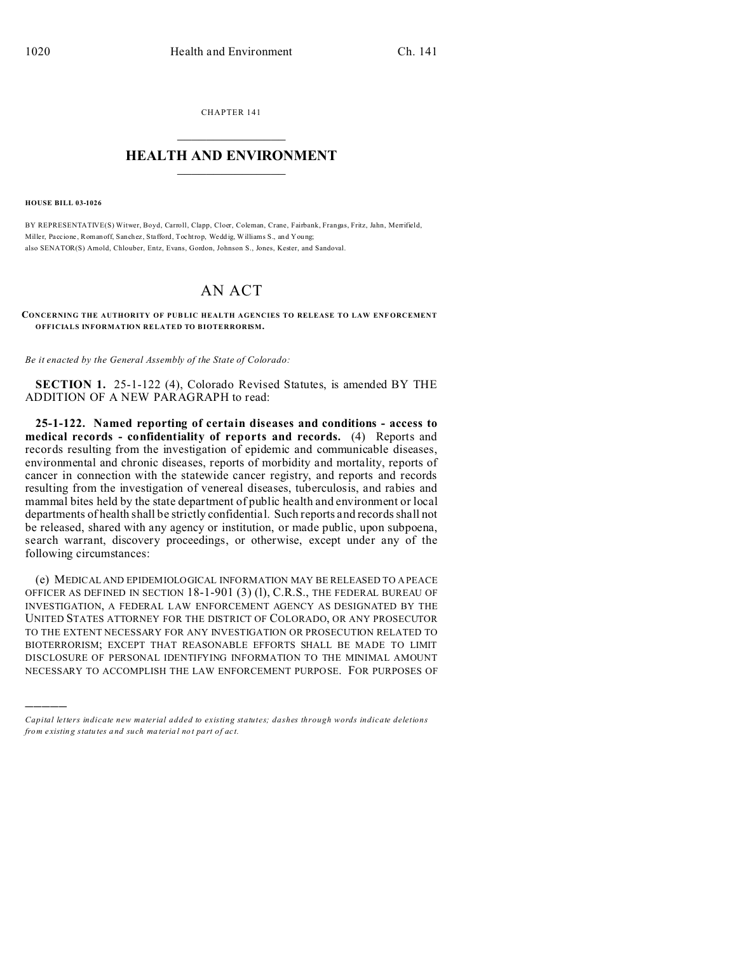CHAPTER 141  $\overline{\phantom{a}}$  , where  $\overline{\phantom{a}}$ 

## **HEALTH AND ENVIRONMENT**  $\_$   $\_$   $\_$   $\_$   $\_$   $\_$   $\_$   $\_$

**HOUSE BILL 03-1026**

)))))

BY REPRESENTATIVE(S) Witwer, Boyd, Carroll, Clapp, Cloer, Coleman, Crane, Fairbank, Frangas, Fritz, Jahn, Merrifield, Miller, Paccione , Romanoff, Sanchez, Stafford, Tochtrop, Wedd ig, Williams S., and You ng; also SENATOR(S) Arnold, Chlouber, Entz, Evans, Gordon, Johnson S., Jones, Kester, and Sandoval.

## AN ACT

**CONCERNING THE AUTHORITY OF PUBLIC HEALTH AGENCIES TO RELEASE TO LAW ENFORCEMENT OFFICIALS INFORMATION RELATED TO BIOTERRORISM.**

*Be it enacted by the General Assembly of the State of Colorado:*

**SECTION 1.** 25-1-122 (4), Colorado Revised Statutes, is amended BY THE ADDITION OF A NEW PARAGRAPH to read:

**25-1-122. Named reporting of certain diseases and conditions - access to medical records - confidentiality of reports and records.** (4) Reports and records resulting from the investigation of epidemic and communicable diseases, environmental and chronic diseases, reports of morbidity and mortality, reports of cancer in connection with the statewide cancer registry, and reports and records resulting from the investigation of venereal diseases, tuberculosis, and rabies and mammal bites held by the state department of public health and environment or local departments of health shall be strictly confidential. Such reports and records shall not be released, shared with any agency or institution, or made public, upon subpoena, search warrant, discovery proceedings, or otherwise, except under any of the following circumstances:

(e) MEDICAL AND EPIDEMIOLOGICAL INFORMATION MAY BE RELEASED TO A PEACE OFFICER AS DEFINED IN SECTION 18-1-901 (3) (l), C.R.S., THE FEDERAL BUREAU OF INVESTIGATION, A FEDERAL LAW ENFORCEMENT AGENCY AS DESIGNATED BY THE UNITED STATES ATTORNEY FOR THE DISTRICT OF COLORADO, OR ANY PROSECUTOR TO THE EXTENT NECESSARY FOR ANY INVESTIGATION OR PROSECUTION RELATED TO BIOTERRORISM; EXCEPT THAT REASONABLE EFFORTS SHALL BE MADE TO LIMIT DISCLOSURE OF PERSONAL IDENTIFYING INFORMATION TO THE MINIMAL AMOUNT NECESSARY TO ACCOMPLISH THE LAW ENFORCEMENT PURPOSE. FOR PURPOSES OF

*Capital letters indicate new material added to existing statutes; dashes through words indicate deletions from e xistin g statu tes a nd such ma teria l no t pa rt of ac t.*